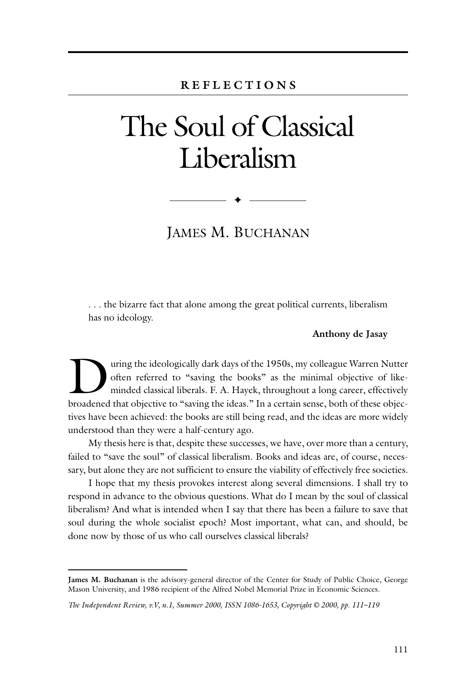# The Soul of Classical Liberalism

JAMES M. BUCHANAN

—————— ✦ ——————

. . . the bizarre fact that alone among the great political currents, liberalism has no ideology.

#### **Anthony de Jasay**

Turing the ideologically dark days of the 1950s, my colleague Warren Nutter<br>often referred to "saving the books" as the minimal objective of like-<br>minded classical liberals. F. A. Hayek, throughout a long career, effective often referred to "saving the books" as the minimal objective of likeminded classical liberals. F. A. Hayek, throughout a long career, effectively broadened that objective to "saving the ideas." In a certain sense, both of these objectives have been achieved: the books are still being read, and the ideas are more widely understood than they were a half-century ago.

My thesis here is that, despite these successes, we have, over more than a century, failed to "save the soul" of classical liberalism. Books and ideas are, of course, necessary, but alone they are not sufficient to ensure the viability of effectively free societies.

I hope that my thesis provokes interest along several dimensions. I shall try to respond in advance to the obvious questions. What do I mean by the soul of classical liberalism? And what is intended when I say that there has been a failure to save that soul during the whole socialist epoch? Most important, what can, and should, be done now by those of us who call ourselves classical liberals?

**James M. Buchanan** is the advisory-general director of the Center for Study of Public Choice, George Mason University, and 1986 recipient of the Alfred Nobel Memorial Prize in Economic Sciences.

*The Independent Review, v.V, n.1, Summer 2000, ISSN 1086-1653, Copyright © 2000, pp. 111–119*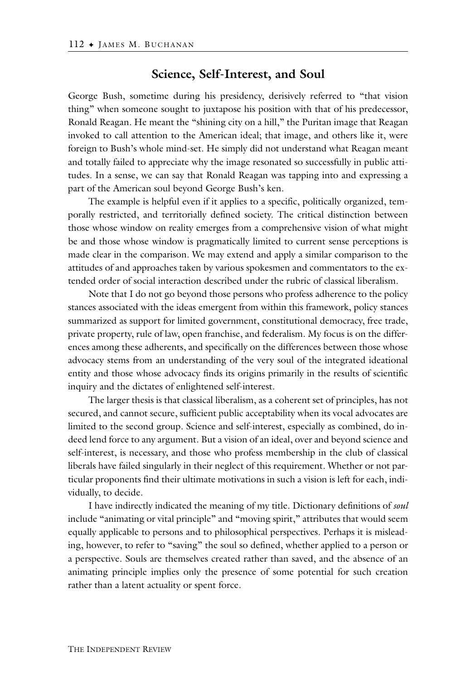### **Science, Self-Interest, and Soul**

George Bush, sometime during his presidency, derisively referred to "that vision thing" when someone sought to juxtapose his position with that of his predecessor, Ronald Reagan. He meant the "shining city on a hill," the Puritan image that Reagan invoked to call attention to the American ideal; that image, and others like it, were foreign to Bush's whole mind-set. He simply did not understand what Reagan meant and totally failed to appreciate why the image resonated so successfully in public attitudes. In a sense, we can say that Ronald Reagan was tapping into and expressing a part of the American soul beyond George Bush's ken.

The example is helpful even if it applies to a specific, politically organized, temporally restricted, and territorially defined society. The critical distinction between those whose window on reality emerges from a comprehensive vision of what might be and those whose window is pragmatically limited to current sense perceptions is made clear in the comparison. We may extend and apply a similar comparison to the attitudes of and approaches taken by various spokesmen and commentators to the extended order of social interaction described under the rubric of classical liberalism.

Note that I do not go beyond those persons who profess adherence to the policy stances associated with the ideas emergent from within this framework, policy stances summarized as support for limited government, constitutional democracy, free trade, private property, rule of law, open franchise, and federalism. My focus is on the differences among these adherents, and specifically on the differences between those whose advocacy stems from an understanding of the very soul of the integrated ideational entity and those whose advocacy finds its origins primarily in the results of scientific inquiry and the dictates of enlightened self-interest.

The larger thesis is that classical liberalism, as a coherent set of principles, has not secured, and cannot secure, sufficient public acceptability when its vocal advocates are limited to the second group. Science and self-interest, especially as combined, do indeed lend force to any argument. But a vision of an ideal, over and beyond science and self-interest, is necessary, and those who profess membership in the club of classical liberals have failed singularly in their neglect of this requirement. Whether or not particular proponents find their ultimate motivations in such a vision is left for each, individually, to decide.

I have indirectly indicated the meaning of my title. Dictionary definitions of *soul* include "animating or vital principle" and "moving spirit," attributes that would seem equally applicable to persons and to philosophical perspectives. Perhaps it is misleading, however, to refer to "saving" the soul so defined, whether applied to a person or a perspective. Souls are themselves created rather than saved, and the absence of an animating principle implies only the presence of some potential for such creation rather than a latent actuality or spent force.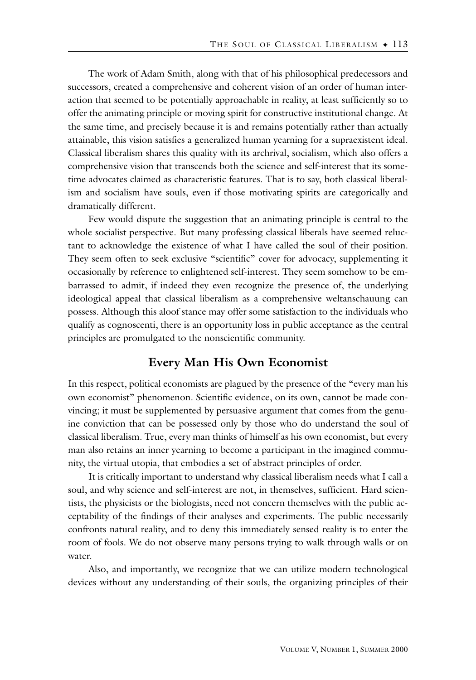The work of Adam Smith, along with that of his philosophical predecessors and successors, created a comprehensive and coherent vision of an order of human interaction that seemed to be potentially approachable in reality, at least sufficiently so to offer the animating principle or moving spirit for constructive institutional change. At the same time, and precisely because it is and remains potentially rather than actually attainable, this vision satisfies a generalized human yearning for a supraexistent ideal. Classical liberalism shares this quality with its archrival, socialism, which also offers a comprehensive vision that transcends both the science and self-interest that its sometime advocates claimed as characteristic features. That is to say, both classical liberalism and socialism have souls, even if those motivating spirits are categorically and dramatically different.

Few would dispute the suggestion that an animating principle is central to the whole socialist perspective. But many professing classical liberals have seemed reluctant to acknowledge the existence of what I have called the soul of their position. They seem often to seek exclusive "scientific" cover for advocacy, supplementing it occasionally by reference to enlightened self-interest. They seem somehow to be embarrassed to admit, if indeed they even recognize the presence of, the underlying ideological appeal that classical liberalism as a comprehensive weltanschauung can possess. Although this aloof stance may offer some satisfaction to the individuals who qualify as cognoscenti, there is an opportunity loss in public acceptance as the central principles are promulgated to the nonscientific community.

# **Every Man His Own Economist**

In this respect, political economists are plagued by the presence of the "every man his own economist" phenomenon. Scientific evidence, on its own, cannot be made convincing; it must be supplemented by persuasive argument that comes from the genuine conviction that can be possessed only by those who do understand the soul of classical liberalism. True, every man thinks of himself as his own economist, but every man also retains an inner yearning to become a participant in the imagined community, the virtual utopia, that embodies a set of abstract principles of order.

It is critically important to understand why classical liberalism needs what I call a soul, and why science and self-interest are not, in themselves, sufficient. Hard scientists, the physicists or the biologists, need not concern themselves with the public acceptability of the findings of their analyses and experiments. The public necessarily confronts natural reality, and to deny this immediately sensed reality is to enter the room of fools. We do not observe many persons trying to walk through walls or on water.

Also, and importantly, we recognize that we can utilize modern technological devices without any understanding of their souls, the organizing principles of their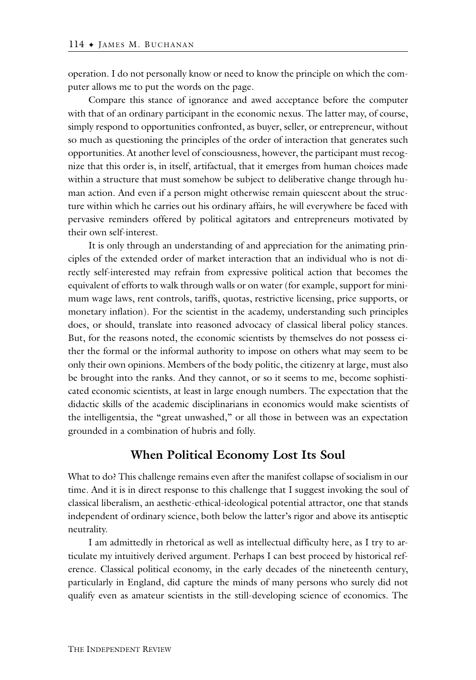operation. I do not personally know or need to know the principle on which the computer allows me to put the words on the page.

Compare this stance of ignorance and awed acceptance before the computer with that of an ordinary participant in the economic nexus. The latter may, of course, simply respond to opportunities confronted, as buyer, seller, or entrepreneur, without so much as questioning the principles of the order of interaction that generates such opportunities. At another level of consciousness, however, the participant must recognize that this order is, in itself, artifactual, that it emerges from human choices made within a structure that must somehow be subject to deliberative change through human action. And even if a person might otherwise remain quiescent about the structure within which he carries out his ordinary affairs, he will everywhere be faced with pervasive reminders offered by political agitators and entrepreneurs motivated by their own self-interest.

It is only through an understanding of and appreciation for the animating principles of the extended order of market interaction that an individual who is not directly self-interested may refrain from expressive political action that becomes the equivalent of efforts to walk through walls or on water (for example, support for minimum wage laws, rent controls, tariffs, quotas, restrictive licensing, price supports, or monetary inflation). For the scientist in the academy, understanding such principles does, or should, translate into reasoned advocacy of classical liberal policy stances. But, for the reasons noted, the economic scientists by themselves do not possess either the formal or the informal authority to impose on others what may seem to be only their own opinions. Members of the body politic, the citizenry at large, must also be brought into the ranks. And they cannot, or so it seems to me, become sophisticated economic scientists, at least in large enough numbers. The expectation that the didactic skills of the academic disciplinarians in economics would make scientists of the intelligentsia, the "great unwashed," or all those in between was an expectation grounded in a combination of hubris and folly.

### **When Political Economy Lost Its Soul**

What to do? This challenge remains even after the manifest collapse of socialism in our time. And it is in direct response to this challenge that I suggest invoking the soul of classical liberalism, an aesthetic-ethical-ideological potential attractor, one that stands independent of ordinary science, both below the latter's rigor and above its antiseptic neutrality.

I am admittedly in rhetorical as well as intellectual difficulty here, as I try to articulate my intuitively derived argument. Perhaps I can best proceed by historical reference. Classical political economy, in the early decades of the nineteenth century, particularly in England, did capture the minds of many persons who surely did not qualify even as amateur scientists in the still-developing science of economics. The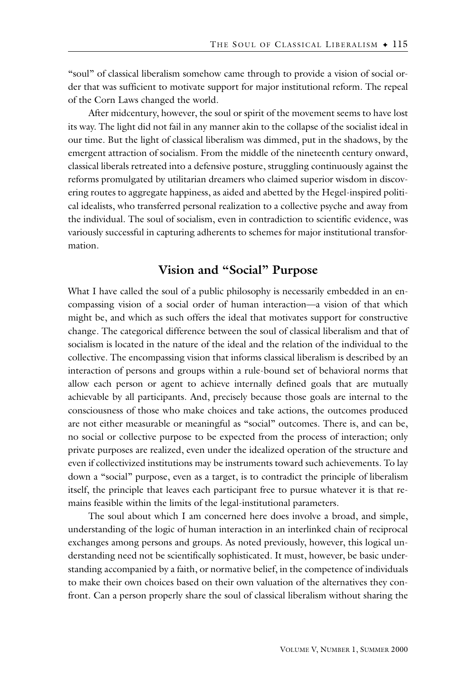"soul" of classical liberalism somehow came through to provide a vision of social order that was sufficient to motivate support for major institutional reform. The repeal of the Corn Laws changed the world.

After midcentury, however, the soul or spirit of the movement seems to have lost its way. The light did not fail in any manner akin to the collapse of the socialist ideal in our time. But the light of classical liberalism was dimmed, put in the shadows, by the emergent attraction of socialism. From the middle of the nineteenth century onward, classical liberals retreated into a defensive posture, struggling continuously against the reforms promulgated by utilitarian dreamers who claimed superior wisdom in discovering routes to aggregate happiness, as aided and abetted by the Hegel-inspired political idealists, who transferred personal realization to a collective psyche and away from the individual. The soul of socialism, even in contradiction to scientific evidence, was variously successful in capturing adherents to schemes for major institutional transformation.

# **Vision and "Social" Purpose**

What I have called the soul of a public philosophy is necessarily embedded in an encompassing vision of a social order of human interaction—a vision of that which might be, and which as such offers the ideal that motivates support for constructive change. The categorical difference between the soul of classical liberalism and that of socialism is located in the nature of the ideal and the relation of the individual to the collective. The encompassing vision that informs classical liberalism is described by an interaction of persons and groups within a rule-bound set of behavioral norms that allow each person or agent to achieve internally defined goals that are mutually achievable by all participants. And, precisely because those goals are internal to the consciousness of those who make choices and take actions, the outcomes produced are not either measurable or meaningful as "social" outcomes. There is, and can be, no social or collective purpose to be expected from the process of interaction; only private purposes are realized, even under the idealized operation of the structure and even if collectivized institutions may be instruments toward such achievements. To lay down a "social" purpose, even as a target, is to contradict the principle of liberalism itself, the principle that leaves each participant free to pursue whatever it is that remains feasible within the limits of the legal-institutional parameters.

The soul about which I am concerned here does involve a broad, and simple, understanding of the logic of human interaction in an interlinked chain of reciprocal exchanges among persons and groups. As noted previously, however, this logical understanding need not be scientifically sophisticated. It must, however, be basic understanding accompanied by a faith, or normative belief, in the competence of individuals to make their own choices based on their own valuation of the alternatives they confront. Can a person properly share the soul of classical liberalism without sharing the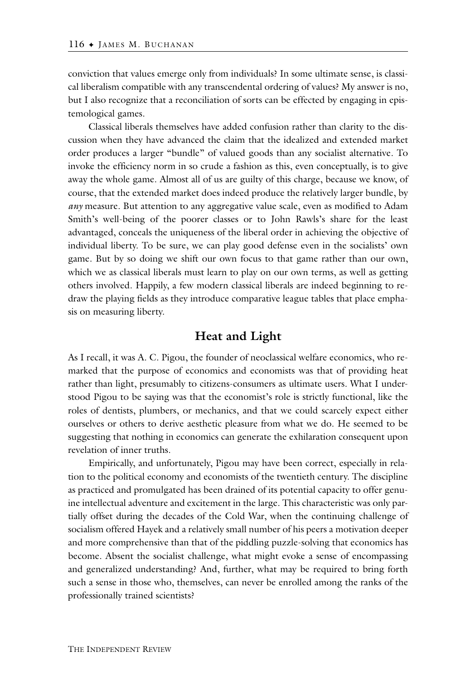conviction that values emerge only from individuals? In some ultimate sense, is classical liberalism compatible with any transcendental ordering of values? My answer is no, but I also recognize that a reconciliation of sorts can be effected by engaging in epistemological games.

Classical liberals themselves have added confusion rather than clarity to the discussion when they have advanced the claim that the idealized and extended market order produces a larger "bundle" of valued goods than any socialist alternative. To invoke the efficiency norm in so crude a fashion as this, even conceptually, is to give away the whole game. Almost all of us are guilty of this charge, because we know, of course, that the extended market does indeed produce the relatively larger bundle, by *any* measure. But attention to any aggregative value scale, even as modified to Adam Smith's well-being of the poorer classes or to John Rawls's share for the least advantaged, conceals the uniqueness of the liberal order in achieving the objective of individual liberty. To be sure, we can play good defense even in the socialists' own game. But by so doing we shift our own focus to that game rather than our own, which we as classical liberals must learn to play on our own terms, as well as getting others involved. Happily, a few modern classical liberals are indeed beginning to redraw the playing fields as they introduce comparative league tables that place emphasis on measuring liberty.

# **Heat and Light**

As I recall, it was A. C. Pigou, the founder of neoclassical welfare economics, who remarked that the purpose of economics and economists was that of providing heat rather than light, presumably to citizens-consumers as ultimate users. What I understood Pigou to be saying was that the economist's role is strictly functional, like the roles of dentists, plumbers, or mechanics, and that we could scarcely expect either ourselves or others to derive aesthetic pleasure from what we do. He seemed to be suggesting that nothing in economics can generate the exhilaration consequent upon revelation of inner truths.

Empirically, and unfortunately, Pigou may have been correct, especially in relation to the political economy and economists of the twentieth century. The discipline as practiced and promulgated has been drained of its potential capacity to offer genuine intellectual adventure and excitement in the large. This characteristic was only partially offset during the decades of the Cold War, when the continuing challenge of socialism offered Hayek and a relatively small number of his peers a motivation deeper and more comprehensive than that of the piddling puzzle-solving that economics has become. Absent the socialist challenge, what might evoke a sense of encompassing and generalized understanding? And, further, what may be required to bring forth such a sense in those who, themselves, can never be enrolled among the ranks of the professionally trained scientists?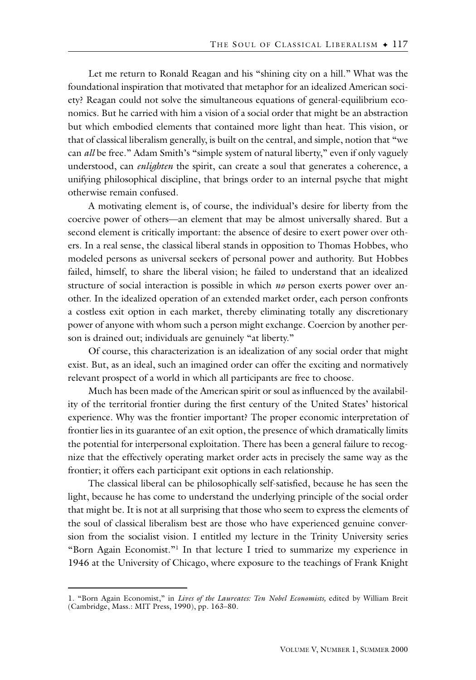Let me return to Ronald Reagan and his "shining city on a hill." What was the foundational inspiration that motivated that metaphor for an idealized American society? Reagan could not solve the simultaneous equations of general-equilibrium economics. But he carried with him a vision of a social order that might be an abstraction but which embodied elements that contained more light than heat. This vision, or that of classical liberalism generally, is built on the central, and simple, notion that "we can *all* be free." Adam Smith's "simple system of natural liberty," even if only vaguely understood, can *enlighten* the spirit, can create a soul that generates a coherence, a unifying philosophical discipline, that brings order to an internal psyche that might otherwise remain confused.

A motivating element is, of course, the individual's desire for liberty from the coercive power of others—an element that may be almost universally shared. But a second element is critically important: the absence of desire to exert power over others. In a real sense, the classical liberal stands in opposition to Thomas Hobbes, who modeled persons as universal seekers of personal power and authority. But Hobbes failed, himself, to share the liberal vision; he failed to understand that an idealized structure of social interaction is possible in which *no* person exerts power over another. In the idealized operation of an extended market order, each person confronts a costless exit option in each market, thereby eliminating totally any discretionary power of anyone with whom such a person might exchange. Coercion by another person is drained out; individuals are genuinely "at liberty."

Of course, this characterization is an idealization of any social order that might exist. But, as an ideal, such an imagined order can offer the exciting and normatively relevant prospect of a world in which all participants are free to choose.

Much has been made of the American spirit or soul as influenced by the availability of the territorial frontier during the first century of the United States' historical experience. Why was the frontier important? The proper economic interpretation of frontier lies in its guarantee of an exit option, the presence of which dramatically limits the potential for interpersonal exploitation. There has been a general failure to recognize that the effectively operating market order acts in precisely the same way as the frontier; it offers each participant exit options in each relationship.

The classical liberal can be philosophically self-satisfied, because he has seen the light, because he has come to understand the underlying principle of the social order that might be. It is not at all surprising that those who seem to express the elements of the soul of classical liberalism best are those who have experienced genuine conversion from the socialist vision. I entitled my lecture in the Trinity University series "Born Again Economist."1 In that lecture I tried to summarize my experience in 1946 at the University of Chicago, where exposure to the teachings of Frank Knight

<sup>1. &</sup>quot;Born Again Economist," in *Lives of the Laureates: Ten Nobel Economists,* edited by William Breit (Cambridge, Mass.: MIT Press, 1990), pp. 163–80.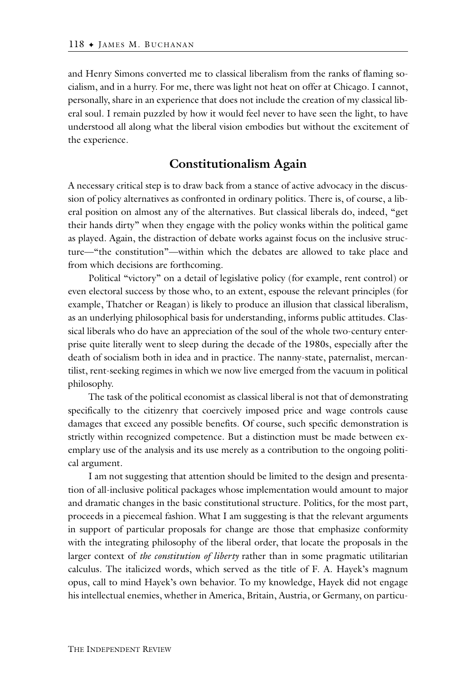and Henry Simons converted me to classical liberalism from the ranks of flaming socialism, and in a hurry. For me, there was light not heat on offer at Chicago. I cannot, personally, share in an experience that does not include the creation of my classical liberal soul. I remain puzzled by how it would feel never to have seen the light, to have understood all along what the liberal vision embodies but without the excitement of the experience.

# **Constitutionalism Again**

A necessary critical step is to draw back from a stance of active advocacy in the discussion of policy alternatives as confronted in ordinary politics. There is, of course, a liberal position on almost any of the alternatives. But classical liberals do, indeed, "get their hands dirty" when they engage with the policy wonks within the political game as played. Again, the distraction of debate works against focus on the inclusive structure—"the constitution"—within which the debates are allowed to take place and from which decisions are forthcoming.

Political "victory" on a detail of legislative policy (for example, rent control) or even electoral success by those who, to an extent, espouse the relevant principles (for example, Thatcher or Reagan) is likely to produce an illusion that classical liberalism, as an underlying philosophical basis for understanding, informs public attitudes. Classical liberals who do have an appreciation of the soul of the whole two-century enterprise quite literally went to sleep during the decade of the 1980s, especially after the death of socialism both in idea and in practice. The nanny-state, paternalist, mercantilist, rent-seeking regimes in which we now live emerged from the vacuum in political philosophy.

The task of the political economist as classical liberal is not that of demonstrating specifically to the citizenry that coercively imposed price and wage controls cause damages that exceed any possible benefits. Of course, such specific demonstration is strictly within recognized competence. But a distinction must be made between exemplary use of the analysis and its use merely as a contribution to the ongoing political argument.

I am not suggesting that attention should be limited to the design and presentation of all-inclusive political packages whose implementation would amount to major and dramatic changes in the basic constitutional structure. Politics, for the most part, proceeds in a piecemeal fashion. What I am suggesting is that the relevant arguments in support of particular proposals for change are those that emphasize conformity with the integrating philosophy of the liberal order, that locate the proposals in the larger context of *the constitution of liberty* rather than in some pragmatic utilitarian calculus. The italicized words, which served as the title of F. A. Hayek's magnum opus, call to mind Hayek's own behavior. To my knowledge, Hayek did not engage his intellectual enemies, whether in America, Britain, Austria, or Germany, on particu